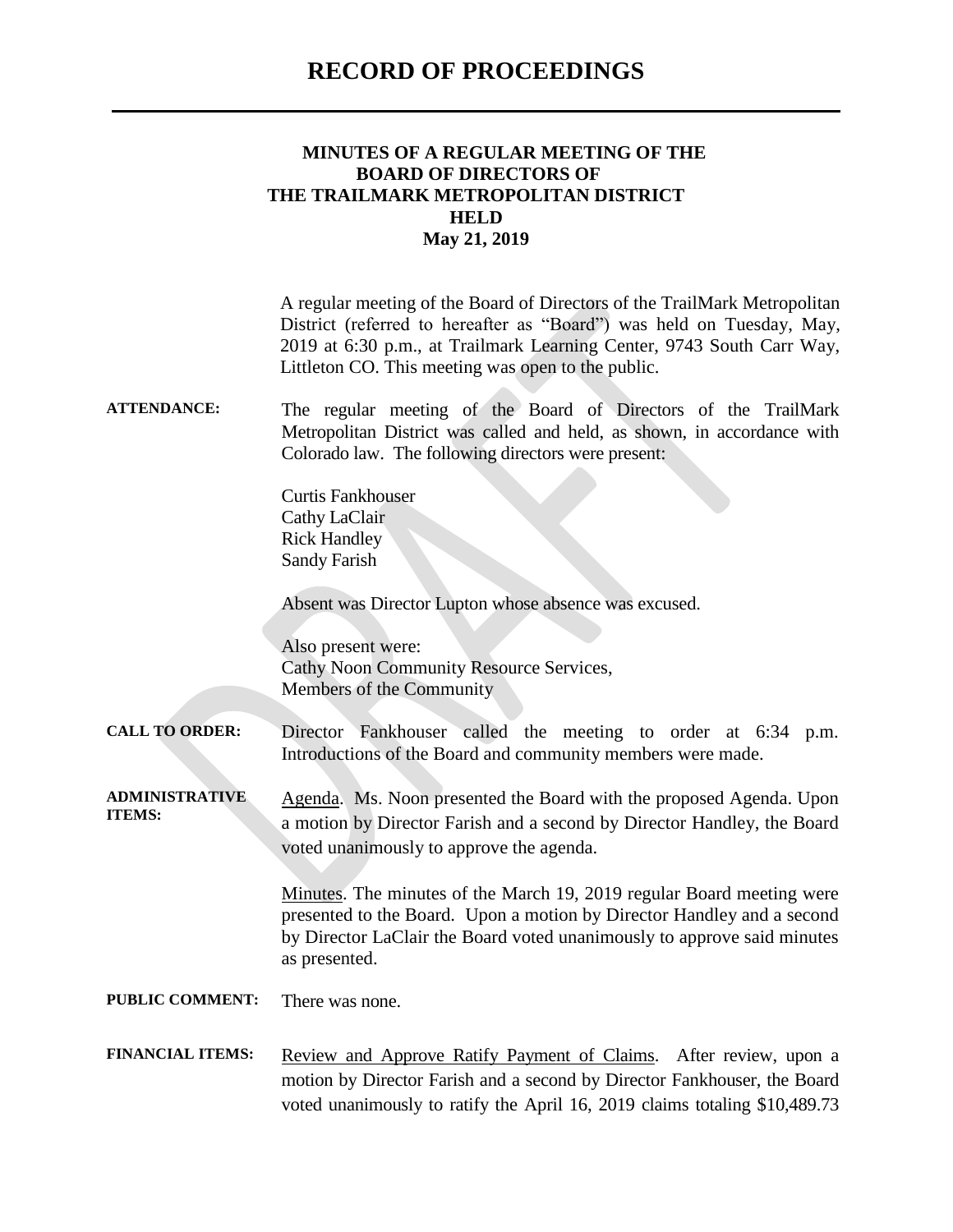### **RECORD OF PROCEEDINGS**

| MINUTES OF A REGULAR MEETING OF THE |
|-------------------------------------|
| <b>BOARD OF DIRECTORS OF</b>        |
| THE TRAILMARK METROPOLITAN DISTRICT |
| HELD                                |
| May 21, 2019                        |

A regular meeting of the Board of Directors of the TrailMark Metropolitan District (referred to hereafter as "Board") was held on Tuesday, May, 2019 at 6:30 p.m., at Trailmark Learning Center, 9743 South Carr Way, Littleton CO. This meeting was open to the public.

#### **ATTENDANCE:** The regular meeting of the Board of Directors of the TrailMark Metropolitan District was called and held, as shown, in accordance with Colorado law. The following directors were present:

Curtis Fankhouser Cathy LaClair Rick Handley Sandy Farish

Absent was Director Lupton whose absence was excused.

Also present were: Cathy Noon Community Resource Services, Members of the Community

**CALL TO ORDER:** Director Fankhouser called the meeting to order at 6:34 p.m. Introductions of the Board and community members were made.

**ADMINISTRATIVE ITEMS:** Agenda. Ms. Noon presented the Board with the proposed Agenda. Upon a motion by Director Farish and a second by Director Handley, the Board voted unanimously to approve the agenda.

> Minutes. The minutes of the March 19, 2019 regular Board meeting were presented to the Board. Upon a motion by Director Handley and a second by Director LaClair the Board voted unanimously to approve said minutes as presented.

**PUBLIC COMMENT:** There was none.

FINANCIAL ITEMS: Review and Approve Ratify Payment of Claims. After review, upon a motion by Director Farish and a second by Director Fankhouser, the Board voted unanimously to ratify the April 16, 2019 claims totaling \$10,489.73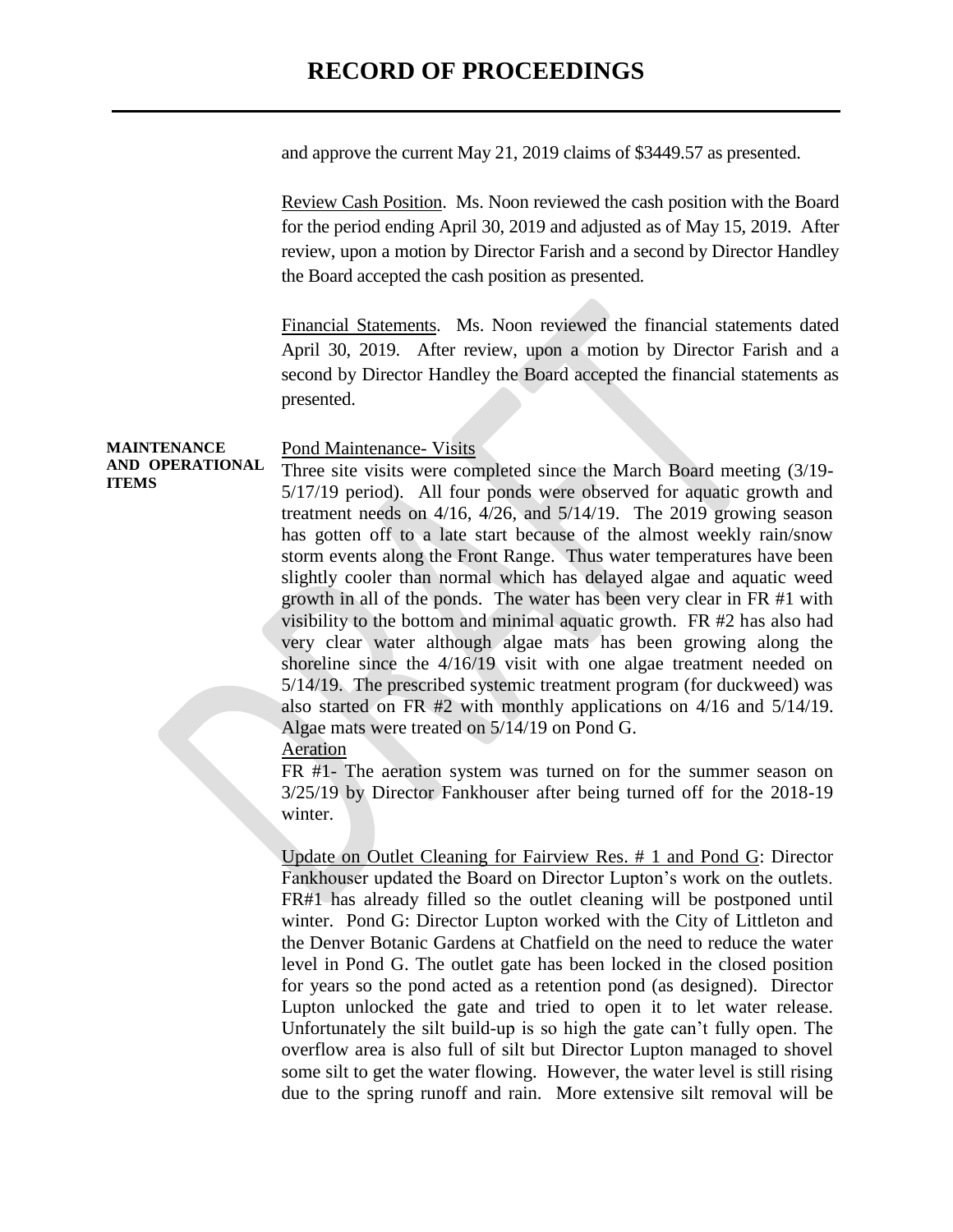## **RECORD OF PROCEEDINGS**

and approve the current May 21, 2019 claims of \$3449.57 as presented.

Review Cash Position. Ms. Noon reviewed the cash position with the Board for the period ending April 30, 2019 and adjusted as of May 15, 2019. After review, upon a motion by Director Farish and a second by Director Handley the Board accepted the cash position as presented.

Financial Statements. Ms. Noon reviewed the financial statements dated April 30, 2019. After review, upon a motion by Director Farish and a second by Director Handley the Board accepted the financial statements as presented.

**MAINTENANCE AND OPERATIONAL**  Pond Maintenance- Visits Three site visits were completed since the March Board meeting (3/19- 5/17/19 period). All four ponds were observed for aquatic growth and treatment needs on 4/16, 4/26, and 5/14/19. The 2019 growing season has gotten off to a late start because of the almost weekly rain/snow storm events along the Front Range. Thus water temperatures have been slightly cooler than normal which has delayed algae and aquatic weed growth in all of the ponds. The water has been very clear in FR #1 with visibility to the bottom and minimal aquatic growth. FR #2 has also had very clear water although algae mats has been growing along the shoreline since the 4/16/19 visit with one algae treatment needed on 5/14/19. The prescribed systemic treatment program (for duckweed) was also started on FR #2 with monthly applications on 4/16 and 5/14/19. Algae mats were treated on 5/14/19 on Pond G.

Aeration

**ITEMS**

FR #1- The aeration system was turned on for the summer season on 3/25/19 by Director Fankhouser after being turned off for the 2018-19 winter.

Update on Outlet Cleaning for Fairview Res. # 1 and Pond G: Director Fankhouser updated the Board on Director Lupton's work on the outlets. FR#1 has already filled so the outlet cleaning will be postponed until winter. Pond G: Director Lupton worked with the City of Littleton and the Denver Botanic Gardens at Chatfield on the need to reduce the water level in Pond G. The outlet gate has been locked in the closed position for years so the pond acted as a retention pond (as designed). Director Lupton unlocked the gate and tried to open it to let water release. Unfortunately the silt build-up is so high the gate can't fully open. The overflow area is also full of silt but Director Lupton managed to shovel some silt to get the water flowing. However, the water level is still rising due to the spring runoff and rain. More extensive silt removal will be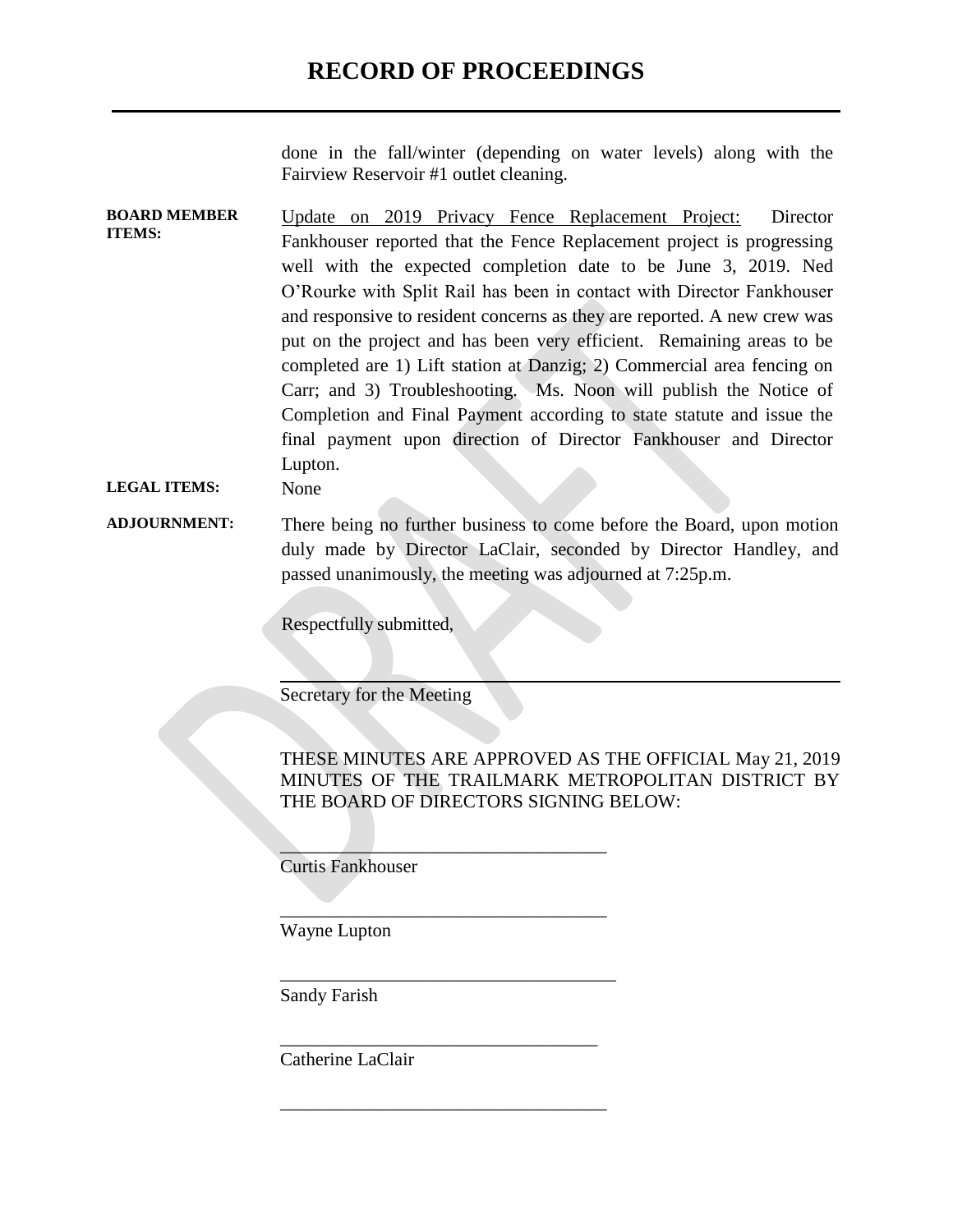done in the fall/winter (depending on water levels) along with the Fairview Reservoir #1 outlet cleaning.

**BOARD MEMBER ITEMS:** Update on 2019 Privacy Fence Replacement Project: Director Fankhouser reported that the Fence Replacement project is progressing well with the expected completion date to be June 3, 2019. Ned O'Rourke with Split Rail has been in contact with Director Fankhouser and responsive to resident concerns as they are reported. A new crew was put on the project and has been very efficient. Remaining areas to be completed are 1) Lift station at Danzig; 2) Commercial area fencing on Carr; and 3) Troubleshooting. Ms. Noon will publish the Notice of Completion and Final Payment according to state statute and issue the final payment upon direction of Director Fankhouser and Director Lupton.

#### **LEGAL ITEMS:** None

**ADJOURNMENT:** There being no further business to come before the Board, upon motion duly made by Director LaClair, seconded by Director Handley, and passed unanimously, the meeting was adjourned at 7:25p.m.

 $\overline{\phantom{a}}$  , where  $\overline{\phantom{a}}$  , where  $\overline{\phantom{a}}$  , where  $\overline{\phantom{a}}$  , where  $\overline{\phantom{a}}$ 

\_\_\_\_\_\_\_\_\_\_\_\_\_\_\_\_\_\_\_\_\_\_\_\_\_\_\_\_\_\_\_\_\_\_\_

\_\_\_\_\_\_\_\_\_\_\_\_\_\_\_\_\_\_\_\_\_\_\_\_\_\_\_\_\_\_\_\_\_\_\_\_

\_\_\_\_\_\_\_\_\_\_\_\_\_\_\_\_\_\_\_\_\_\_\_\_\_\_\_\_\_\_\_\_\_\_

\_\_\_\_\_\_\_\_\_\_\_\_\_\_\_\_\_\_\_\_\_\_\_\_\_\_\_\_\_\_\_\_\_\_\_

Respectfully submitted,

Secretary for the Meeting

THESE MINUTES ARE APPROVED AS THE OFFICIAL May 21, 2019 MINUTES OF THE TRAILMARK METROPOLITAN DISTRICT BY THE BOARD OF DIRECTORS SIGNING BELOW:

Curtis Fankhouser

Wayne Lupton

Sandy Farish

Catherine LaClair